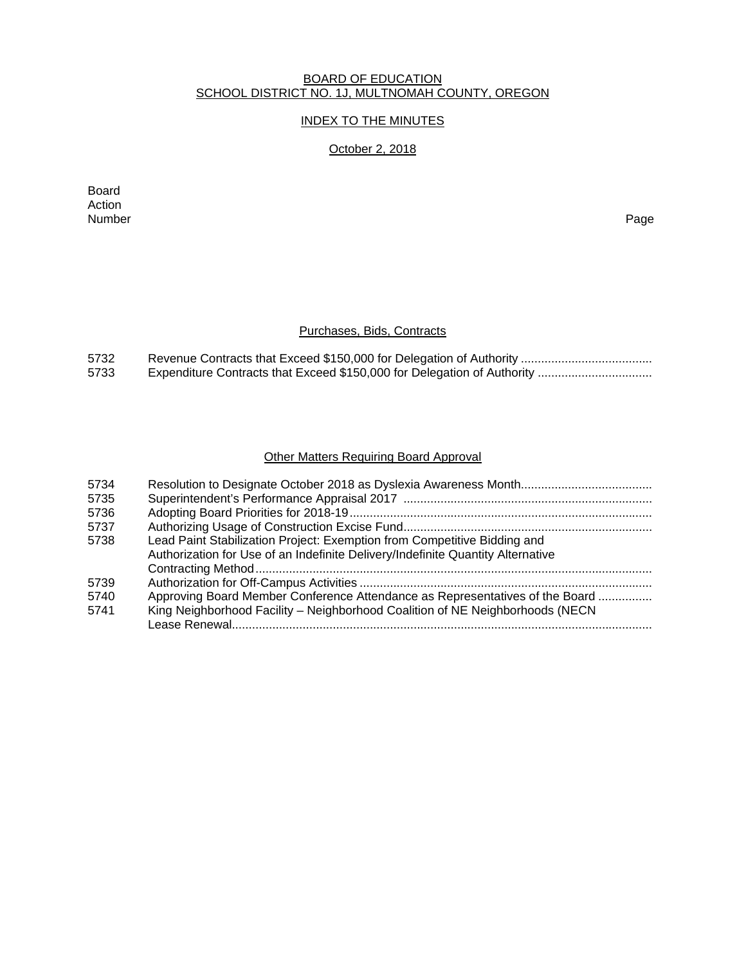### BOARD OF EDUCATION SCHOOL DISTRICT NO. 1J, MULTNOMAH COUNTY, OREGON

# INDEX TO THE MINUTES

# October 2, 2018

Board Action<br>Number Number Page

# Purchases, Bids, Contracts

| 5732 |  |
|------|--|
| 5733 |  |

# Other Matters Requiring Board Approval

| 5734 |                                                                                 |
|------|---------------------------------------------------------------------------------|
| 5735 |                                                                                 |
| 5736 |                                                                                 |
| 5737 |                                                                                 |
| 5738 | Lead Paint Stabilization Project: Exemption from Competitive Bidding and        |
|      | Authorization for Use of an Indefinite Delivery/Indefinite Quantity Alternative |
|      |                                                                                 |
| 5739 |                                                                                 |
| 5740 | Approving Board Member Conference Attendance as Representatives of the Board    |
| 5741 | King Neighborhood Facility - Neighborhood Coalition of NE Neighborhoods (NECN   |
|      |                                                                                 |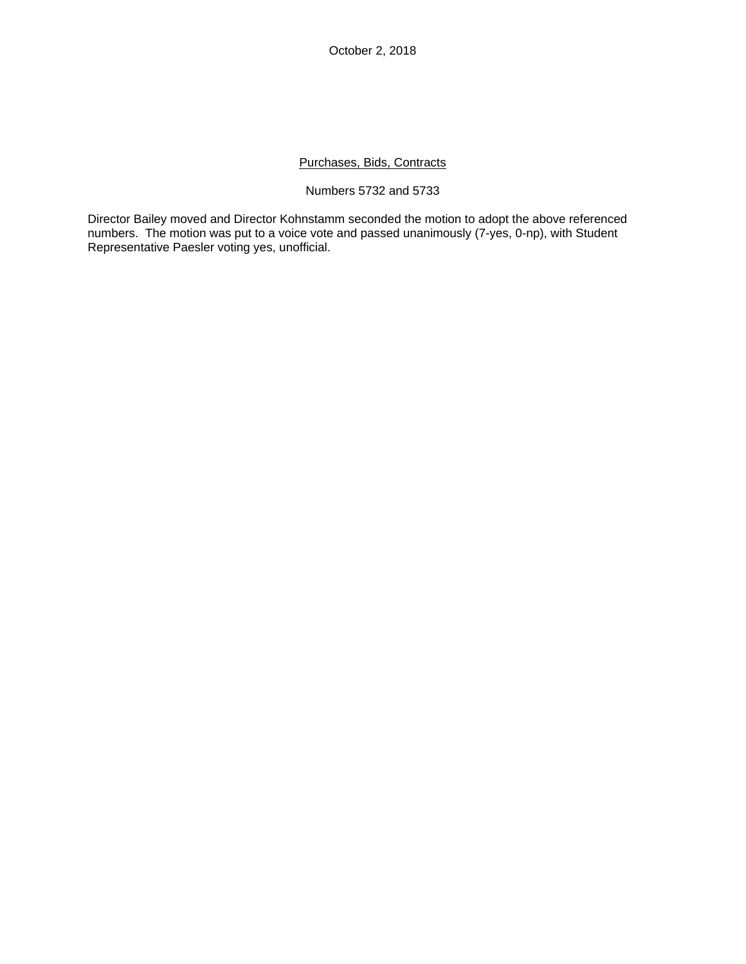# Purchases, Bids, Contracts

#### Numbers 5732 and 5733

Director Bailey moved and Director Kohnstamm seconded the motion to adopt the above referenced numbers. The motion was put to a voice vote and passed unanimously (7-yes, 0-np), with Student Representative Paesler voting yes, unofficial.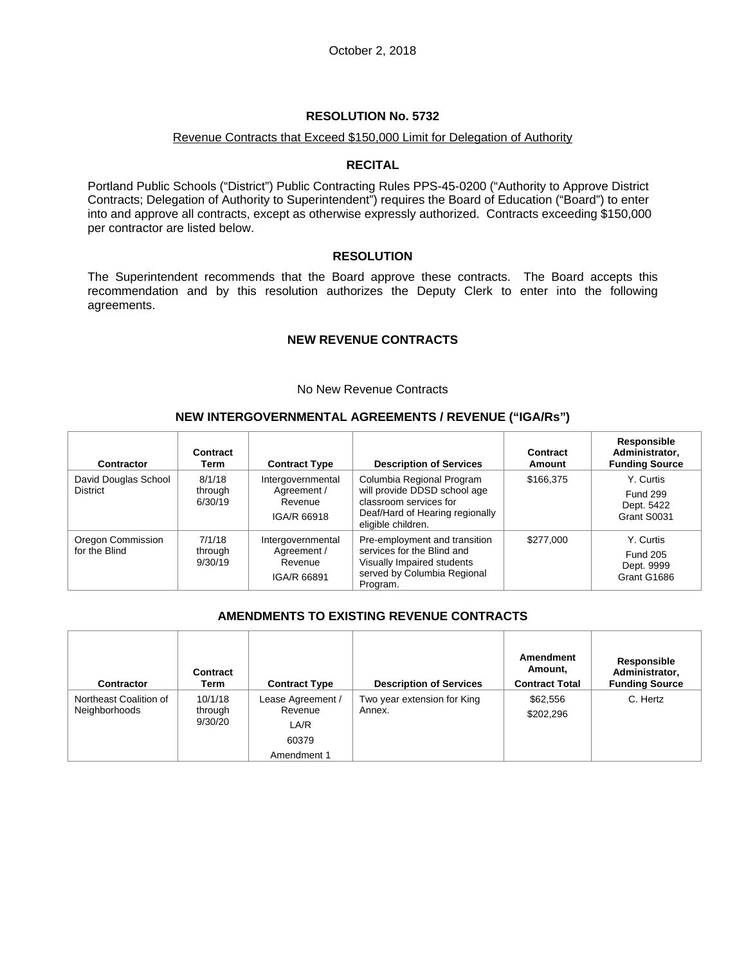### Revenue Contracts that Exceed \$150,000 Limit for Delegation of Authority

#### **RECITAL**

Portland Public Schools ("District") Public Contracting Rules PPS-45-0200 ("Authority to Approve District Contracts; Delegation of Authority to Superintendent") requires the Board of Education ("Board") to enter into and approve all contracts, except as otherwise expressly authorized. Contracts exceeding \$150,000 per contractor are listed below.

#### **RESOLUTION**

The Superintendent recommends that the Board approve these contracts. The Board accepts this recommendation and by this resolution authorizes the Deputy Clerk to enter into the following agreements.

### **NEW REVENUE CONTRACTS**

#### No New Revenue Contracts

#### **NEW INTERGOVERNMENTAL AGREEMENTS / REVENUE ("IGA/Rs")**

| Contractor                              | Contract<br>Term             | <b>Contract Type</b>                                       | <b>Description of Services</b>                                                                                                               | Contract<br>Amount | <b>Responsible</b><br>Administrator,<br><b>Funding Source</b> |
|-----------------------------------------|------------------------------|------------------------------------------------------------|----------------------------------------------------------------------------------------------------------------------------------------------|--------------------|---------------------------------------------------------------|
| David Douglas School<br><b>District</b> | 8/1/18<br>through<br>6/30/19 | Intergovernmental<br>Agreement /<br>Revenue<br>IGA/R 66918 | Columbia Regional Program<br>will provide DDSD school age<br>classroom services for<br>Deaf/Hard of Hearing regionally<br>eligible children. | \$166.375          | Y. Curtis<br><b>Fund 299</b><br>Dept. 5422<br>Grant S0031     |
| Oregon Commission<br>for the Blind      | 7/1/18<br>through<br>9/30/19 | Intergovernmental<br>Agreement /<br>Revenue<br>IGA/R 66891 | Pre-employment and transition<br>services for the Blind and<br>Visually Impaired students<br>served by Columbia Regional<br>Program.         | \$277,000          | Y. Curtis<br><b>Fund 205</b><br>Dept. 9999<br>Grant G1686     |

# **AMENDMENTS TO EXISTING REVENUE CONTRACTS**

| <b>Contractor</b>                       | Contract<br>Term              | <b>Contract Type</b> | <b>Description of Services</b>        | Amendment<br>Amount,<br><b>Contract Total</b> | Responsible<br>Administrator,<br><b>Funding Source</b> |
|-----------------------------------------|-------------------------------|----------------------|---------------------------------------|-----------------------------------------------|--------------------------------------------------------|
| Northeast Coalition of<br>Neighborhoods | 10/1/18<br>through<br>9/30/20 |                      | Two year extension for King<br>Annex. | \$62,556<br>\$202,296                         | C. Hertz                                               |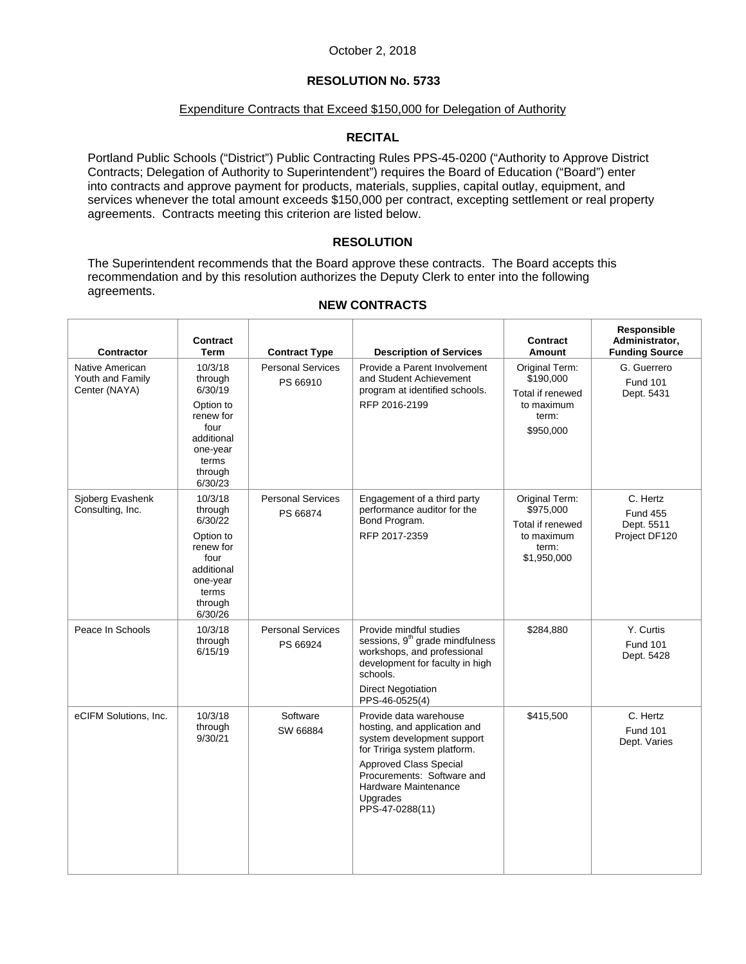# **RESOLUTION No. 5733**

#### Expenditure Contracts that Exceed \$150,000 for Delegation of Authority

# **RECITAL**

Portland Public Schools ("District") Public Contracting Rules PPS-45-0200 ("Authority to Approve District Contracts; Delegation of Authority to Superintendent") requires the Board of Education ("Board") enter into contracts and approve payment for products, materials, supplies, capital outlay, equipment, and services whenever the total amount exceeds \$150,000 per contract, excepting settlement or real property agreements. Contracts meeting this criterion are listed below.

#### **RESOLUTION**

The Superintendent recommends that the Board approve these contracts. The Board accepts this recommendation and by this resolution authorizes the Deputy Clerk to enter into the following agreements.

| Contractor                                           | <b>Contract</b><br>Term                                                                                                  | <b>Contract Type</b>                 | <b>Description of Services</b>                                                                                                                                                                                                             | <b>Contract</b><br>Amount                                                             | Responsible<br>Administrator,<br><b>Funding Source</b>     |
|------------------------------------------------------|--------------------------------------------------------------------------------------------------------------------------|--------------------------------------|--------------------------------------------------------------------------------------------------------------------------------------------------------------------------------------------------------------------------------------------|---------------------------------------------------------------------------------------|------------------------------------------------------------|
| Native American<br>Youth and Family<br>Center (NAYA) | 10/3/18<br>through<br>6/30/19<br>Option to<br>renew for<br>four<br>additional<br>one-year<br>terms<br>through<br>6/30/23 | <b>Personal Services</b><br>PS 66910 | Provide a Parent Involvement<br>and Student Achievement<br>program at identified schools.<br>RFP 2016-2199                                                                                                                                 | Original Term:<br>\$190,000<br>Total if renewed<br>to maximum<br>term:<br>\$950,000   | G. Guerrero<br><b>Fund 101</b><br>Dept. 5431               |
| Sjoberg Evashenk<br>Consulting, Inc.                 | 10/3/18<br>through<br>6/30/22<br>Option to<br>renew for<br>four<br>additional<br>one-year<br>terms<br>through<br>6/30/26 | <b>Personal Services</b><br>PS 66874 | Engagement of a third party<br>performance auditor for the<br>Bond Program.<br>RFP 2017-2359                                                                                                                                               | Original Term:<br>\$975,000<br>Total if renewed<br>to maximum<br>term:<br>\$1,950,000 | C. Hertz<br><b>Fund 455</b><br>Dept. 5511<br>Project DF120 |
| Peace In Schools                                     | 10/3/18<br>through<br>6/15/19                                                                                            | <b>Personal Services</b><br>PS 66924 | Provide mindful studies<br>sessions, 9 <sup>th</sup> grade mindfulness<br>workshops, and professional<br>development for faculty in high<br>schools.<br><b>Direct Negotiation</b><br>PPS-46-0525(4)                                        | \$284,880                                                                             | Y. Curtis<br><b>Fund 101</b><br>Dept. 5428                 |
| eCIFM Solutions, Inc.                                | 10/3/18<br>through<br>9/30/21                                                                                            | Software<br>SW 66884                 | Provide data warehouse<br>hosting, and application and<br>system development support<br>for Tririga system platform.<br><b>Approved Class Special</b><br>Procurements: Software and<br>Hardware Maintenance<br>Upgrades<br>PPS-47-0288(11) | \$415,500                                                                             | C. Hertz<br><b>Fund 101</b><br>Dept. Varies                |

### **NEW CONTRACTS**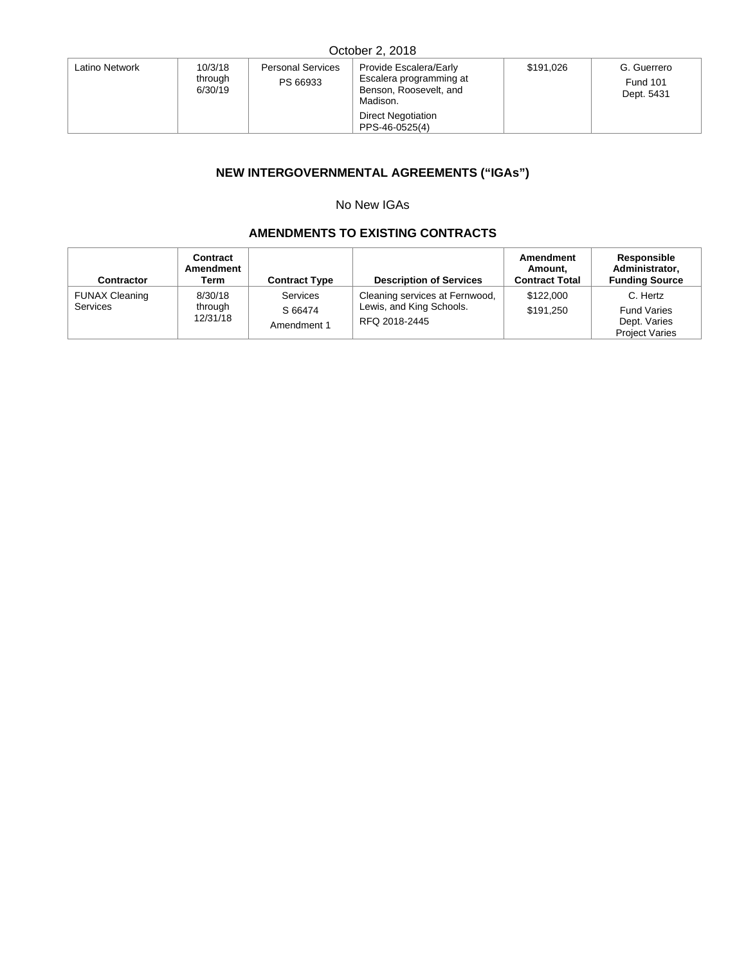| Latino Network | 10/3/18<br>through<br>PS 66933<br>6/30/19 | <b>Personal Services</b> | Provide Escalera/Early<br>Escalera programming at<br>Benson, Roosevelt, and<br>Madison. | \$191.026 | G. Guerrero<br><b>Fund 101</b><br>Dept. 5431 |
|----------------|-------------------------------------------|--------------------------|-----------------------------------------------------------------------------------------|-----------|----------------------------------------------|
|                |                                           |                          | <b>Direct Negotiation</b><br>PPS-46-0525(4)                                             |           |                                              |

# **NEW INTERGOVERNMENTAL AGREEMENTS ("IGAs")**

# No New IGAs

# **AMENDMENTS TO EXISTING CONTRACTS**

| Contractor                               | Contract<br>Amendment<br>Term  | <b>Contract Type</b>                      | <b>Description of Services</b>                                              | Amendment<br>Amount.<br><b>Contract Total</b> | Responsible<br>Administrator,<br><b>Funding Source</b>                  |
|------------------------------------------|--------------------------------|-------------------------------------------|-----------------------------------------------------------------------------|-----------------------------------------------|-------------------------------------------------------------------------|
| <b>FUNAX Cleaning</b><br><b>Services</b> | 8/30/18<br>through<br>12/31/18 | <b>Services</b><br>S 66474<br>Amendment 1 | Cleaning services at Fernwood,<br>Lewis, and King Schools.<br>RFQ 2018-2445 | \$122,000<br>\$191.250                        | C. Hertz<br><b>Fund Varies</b><br>Dept. Varies<br><b>Project Varies</b> |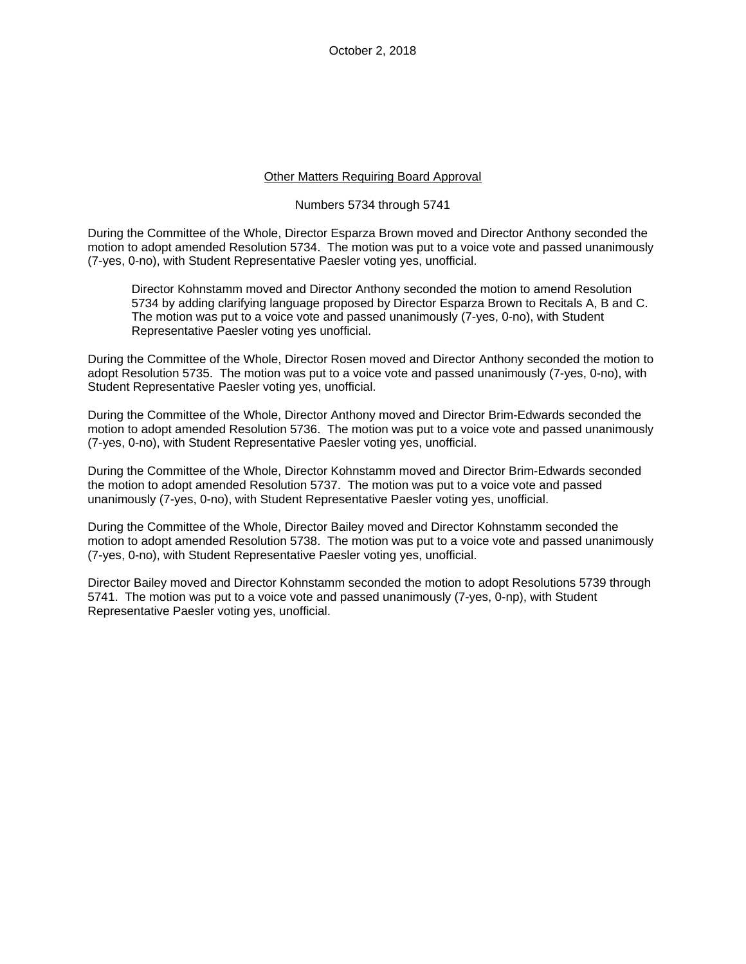#### Other Matters Requiring Board Approval

### Numbers 5734 through 5741

During the Committee of the Whole, Director Esparza Brown moved and Director Anthony seconded the motion to adopt amended Resolution 5734. The motion was put to a voice vote and passed unanimously (7-yes, 0-no), with Student Representative Paesler voting yes, unofficial.

Director Kohnstamm moved and Director Anthony seconded the motion to amend Resolution 5734 by adding clarifying language proposed by Director Esparza Brown to Recitals A, B and C. The motion was put to a voice vote and passed unanimously (7-yes, 0-no), with Student Representative Paesler voting yes unofficial.

During the Committee of the Whole, Director Rosen moved and Director Anthony seconded the motion to adopt Resolution 5735. The motion was put to a voice vote and passed unanimously (7-yes, 0-no), with Student Representative Paesler voting yes, unofficial.

During the Committee of the Whole, Director Anthony moved and Director Brim-Edwards seconded the motion to adopt amended Resolution 5736. The motion was put to a voice vote and passed unanimously (7-yes, 0-no), with Student Representative Paesler voting yes, unofficial.

During the Committee of the Whole, Director Kohnstamm moved and Director Brim-Edwards seconded the motion to adopt amended Resolution 5737. The motion was put to a voice vote and passed unanimously (7-yes, 0-no), with Student Representative Paesler voting yes, unofficial.

During the Committee of the Whole, Director Bailey moved and Director Kohnstamm seconded the motion to adopt amended Resolution 5738. The motion was put to a voice vote and passed unanimously (7-yes, 0-no), with Student Representative Paesler voting yes, unofficial.

Director Bailey moved and Director Kohnstamm seconded the motion to adopt Resolutions 5739 through 5741. The motion was put to a voice vote and passed unanimously (7-yes, 0-np), with Student Representative Paesler voting yes, unofficial.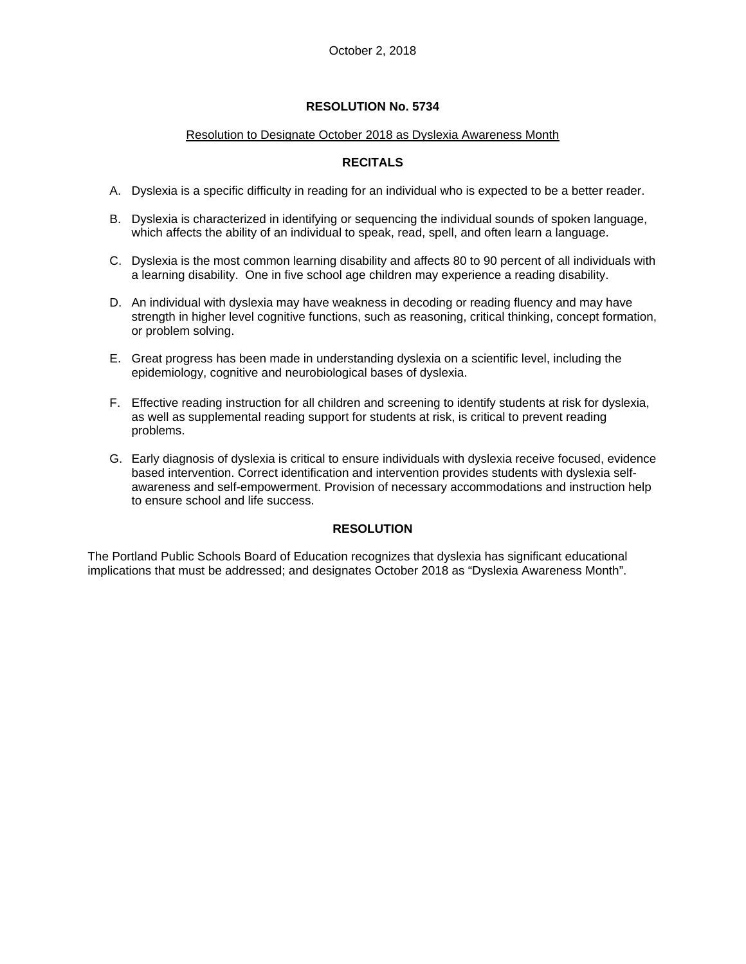### Resolution to Designate October 2018 as Dyslexia Awareness Month

# **RECITALS**

- A. Dyslexia is a specific difficulty in reading for an individual who is expected to be a better reader.
- B. Dyslexia is characterized in identifying or sequencing the individual sounds of spoken language, which affects the ability of an individual to speak, read, spell, and often learn a language.
- C. Dyslexia is the most common learning disability and affects 80 to 90 percent of all individuals with a learning disability. One in five school age children may experience a reading disability.
- D. An individual with dyslexia may have weakness in decoding or reading fluency and may have strength in higher level cognitive functions, such as reasoning, critical thinking, concept formation, or problem solving.
- E. Great progress has been made in understanding dyslexia on a scientific level, including the epidemiology, cognitive and neurobiological bases of dyslexia.
- F. Effective reading instruction for all children and screening to identify students at risk for dyslexia, as well as supplemental reading support for students at risk, is critical to prevent reading problems.
- G. Early diagnosis of dyslexia is critical to ensure individuals with dyslexia receive focused, evidence based intervention. Correct identification and intervention provides students with dyslexia selfawareness and self-empowerment. Provision of necessary accommodations and instruction help to ensure school and life success.

# **RESOLUTION**

The Portland Public Schools Board of Education recognizes that dyslexia has significant educational implications that must be addressed; and designates October 2018 as "Dyslexia Awareness Month".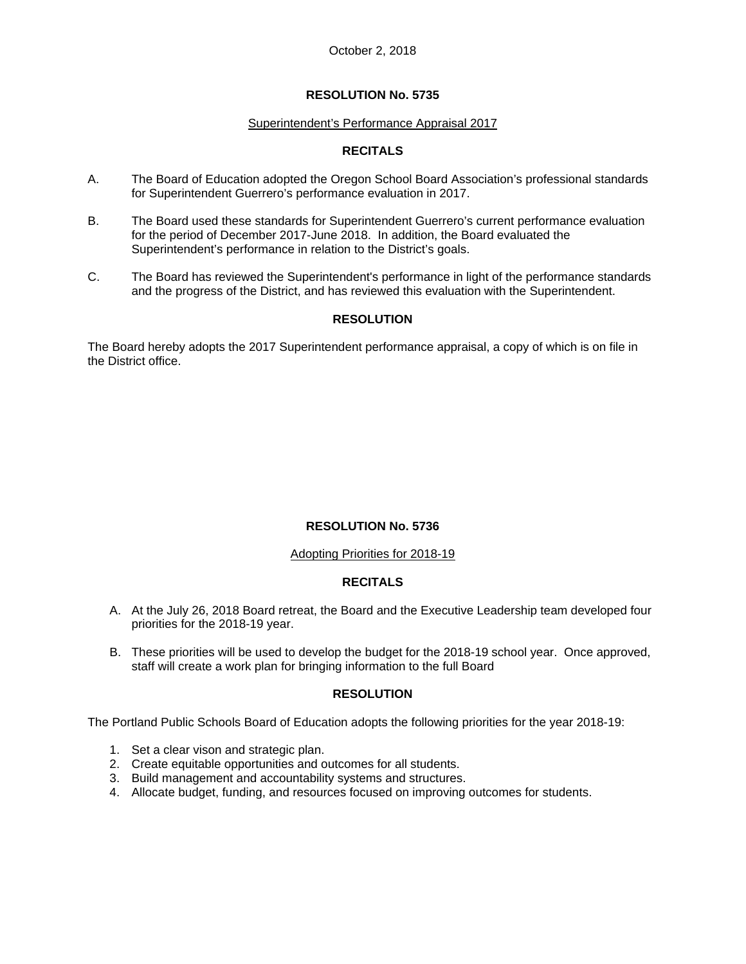#### Superintendent's Performance Appraisal 2017

# **RECITALS**

- A. The Board of Education adopted the Oregon School Board Association's professional standards for Superintendent Guerrero's performance evaluation in 2017.
- B. The Board used these standards for Superintendent Guerrero's current performance evaluation for the period of December 2017-June 2018. In addition, the Board evaluated the Superintendent's performance in relation to the District's goals.
- C. The Board has reviewed the Superintendent's performance in light of the performance standards and the progress of the District, and has reviewed this evaluation with the Superintendent.

# **RESOLUTION**

The Board hereby adopts the 2017 Superintendent performance appraisal, a copy of which is on file in the District office.

# **RESOLUTION No. 5736**

#### Adopting Priorities for 2018-19

# **RECITALS**

- A. At the July 26, 2018 Board retreat, the Board and the Executive Leadership team developed four priorities for the 2018-19 year.
- B. These priorities will be used to develop the budget for the 2018-19 school year. Once approved, staff will create a work plan for bringing information to the full Board

#### **RESOLUTION**

The Portland Public Schools Board of Education adopts the following priorities for the year 2018-19:

- 1. Set a clear vison and strategic plan.
- 2. Create equitable opportunities and outcomes for all students.
- 3. Build management and accountability systems and structures.
- 4. Allocate budget, funding, and resources focused on improving outcomes for students.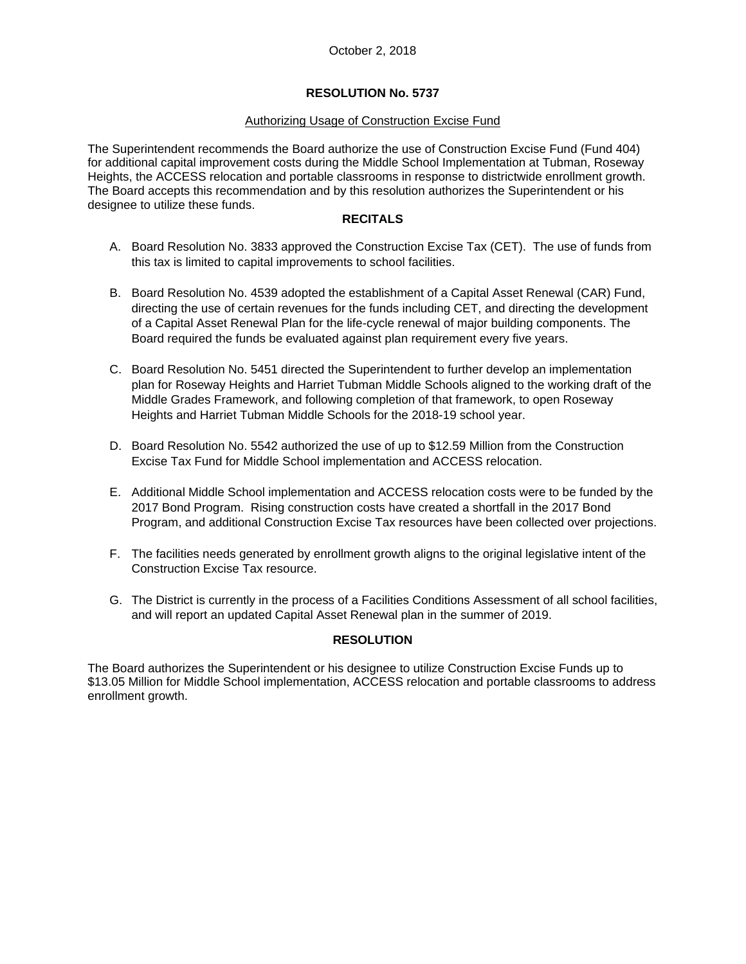### **RESOLUTION No. 5737**

#### Authorizing Usage of Construction Excise Fund

The Superintendent recommends the Board authorize the use of Construction Excise Fund (Fund 404) for additional capital improvement costs during the Middle School Implementation at Tubman, Roseway Heights, the ACCESS relocation and portable classrooms in response to districtwide enrollment growth. The Board accepts this recommendation and by this resolution authorizes the Superintendent or his designee to utilize these funds.

#### **RECITALS**

- A. Board Resolution No. 3833 approved the Construction Excise Tax (CET). The use of funds from this tax is limited to capital improvements to school facilities.
- B. Board Resolution No. 4539 adopted the establishment of a Capital Asset Renewal (CAR) Fund, directing the use of certain revenues for the funds including CET, and directing the development of a Capital Asset Renewal Plan for the life-cycle renewal of major building components. The Board required the funds be evaluated against plan requirement every five years.
- C. Board Resolution No. 5451 directed the Superintendent to further develop an implementation plan for Roseway Heights and Harriet Tubman Middle Schools aligned to the working draft of the Middle Grades Framework, and following completion of that framework, to open Roseway Heights and Harriet Tubman Middle Schools for the 2018-19 school year.
- D. Board Resolution No. 5542 authorized the use of up to \$12.59 Million from the Construction Excise Tax Fund for Middle School implementation and ACCESS relocation.
- E. Additional Middle School implementation and ACCESS relocation costs were to be funded by the 2017 Bond Program. Rising construction costs have created a shortfall in the 2017 Bond Program, and additional Construction Excise Tax resources have been collected over projections.
- F. The facilities needs generated by enrollment growth aligns to the original legislative intent of the Construction Excise Tax resource.
- G. The District is currently in the process of a Facilities Conditions Assessment of all school facilities, and will report an updated Capital Asset Renewal plan in the summer of 2019.

#### **RESOLUTION**

The Board authorizes the Superintendent or his designee to utilize Construction Excise Funds up to \$13.05 Million for Middle School implementation, ACCESS relocation and portable classrooms to address enrollment growth.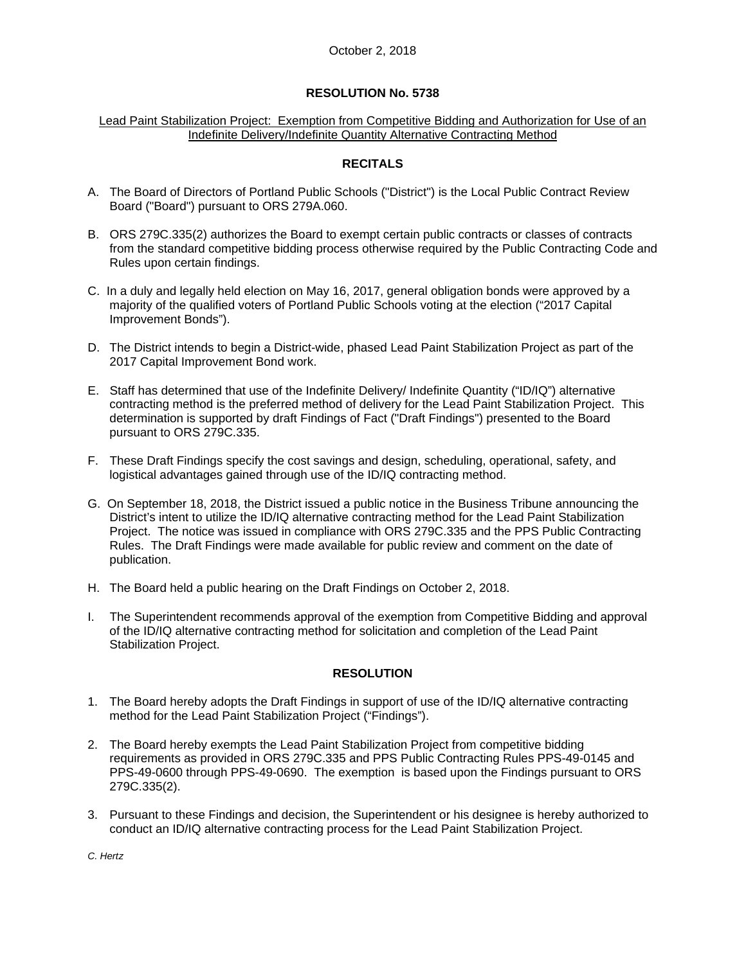#### Lead Paint Stabilization Project: Exemption from Competitive Bidding and Authorization for Use of an Indefinite Delivery/Indefinite Quantity Alternative Contracting Method

# **RECITALS**

- A. The Board of Directors of Portland Public Schools ("District") is the Local Public Contract Review Board ("Board") pursuant to ORS 279A.060.
- B. ORS 279C.335(2) authorizes the Board to exempt certain public contracts or classes of contracts from the standard competitive bidding process otherwise required by the Public Contracting Code and Rules upon certain findings.
- C. In a duly and legally held election on May 16, 2017, general obligation bonds were approved by a majority of the qualified voters of Portland Public Schools voting at the election ("2017 Capital Improvement Bonds").
- D. The District intends to begin a District-wide, phased Lead Paint Stabilization Project as part of the 2017 Capital Improvement Bond work.
- E. Staff has determined that use of the Indefinite Delivery/ Indefinite Quantity ("ID/IQ") alternative contracting method is the preferred method of delivery for the Lead Paint Stabilization Project. This determination is supported by draft Findings of Fact ("Draft Findings") presented to the Board pursuant to ORS 279C.335.
- F. These Draft Findings specify the cost savings and design, scheduling, operational, safety, and logistical advantages gained through use of the ID/IQ contracting method.
- G. On September 18, 2018, the District issued a public notice in the Business Tribune announcing the District's intent to utilize the ID/IQ alternative contracting method for the Lead Paint Stabilization Project. The notice was issued in compliance with ORS 279C.335 and the PPS Public Contracting Rules. The Draft Findings were made available for public review and comment on the date of publication.
- H. The Board held a public hearing on the Draft Findings on October 2, 2018.
- I. The Superintendent recommends approval of the exemption from Competitive Bidding and approval of the ID/IQ alternative contracting method for solicitation and completion of the Lead Paint Stabilization Project.

# **RESOLUTION**

- 1. The Board hereby adopts the Draft Findings in support of use of the ID/IQ alternative contracting method for the Lead Paint Stabilization Project ("Findings").
- 2. The Board hereby exempts the Lead Paint Stabilization Project from competitive bidding requirements as provided in ORS 279C.335 and PPS Public Contracting Rules PPS-49-0145 and PPS-49-0600 through PPS-49-0690. The exemption is based upon the Findings pursuant to ORS 279C.335(2).
- 3. Pursuant to these Findings and decision, the Superintendent or his designee is hereby authorized to conduct an ID/IQ alternative contracting process for the Lead Paint Stabilization Project.

*C. Hertz*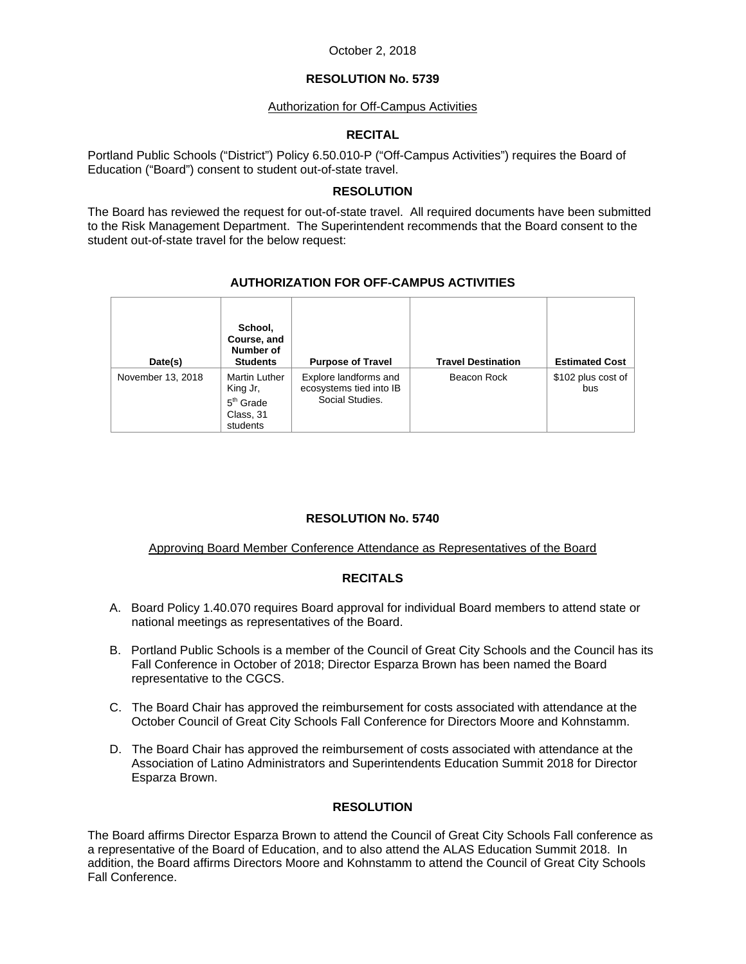### **RESOLUTION No. 5739**

### **Authorization for Off-Campus Activities**

### **RECITAL**

Portland Public Schools ("District") Policy 6.50.010-P ("Off-Campus Activities") requires the Board of Education ("Board") consent to student out-of-state travel.

### **RESOLUTION**

The Board has reviewed the request for out-of-state travel. All required documents have been submitted to the Risk Management Department. The Superintendent recommends that the Board consent to the student out-of-state travel for the below request:

# **AUTHORIZATION FOR OFF-CAMPUS ACTIVITIES**

| Date(s)           | School,<br>Course, and<br>Number of<br><b>Students</b>                   | <b>Purpose of Travel</b>                                            | <b>Travel Destination</b> | <b>Estimated Cost</b>     |
|-------------------|--------------------------------------------------------------------------|---------------------------------------------------------------------|---------------------------|---------------------------|
| November 13, 2018 | <b>Martin Luther</b><br>King Jr,<br>$5th$ Grade<br>Class, 31<br>students | Explore landforms and<br>ecosystems tied into IB<br>Social Studies. | Beacon Rock               | \$102 plus cost of<br>bus |

# **RESOLUTION No. 5740**

# Approving Board Member Conference Attendance as Representatives of the Board

# **RECITALS**

- A. Board Policy 1.40.070 requires Board approval for individual Board members to attend state or national meetings as representatives of the Board.
- B. Portland Public Schools is a member of the Council of Great City Schools and the Council has its Fall Conference in October of 2018; Director Esparza Brown has been named the Board representative to the CGCS.
- C. The Board Chair has approved the reimbursement for costs associated with attendance at the October Council of Great City Schools Fall Conference for Directors Moore and Kohnstamm.
- D. The Board Chair has approved the reimbursement of costs associated with attendance at the Association of Latino Administrators and Superintendents Education Summit 2018 for Director Esparza Brown.

# **RESOLUTION**

The Board affirms Director Esparza Brown to attend the Council of Great City Schools Fall conference as a representative of the Board of Education, and to also attend the ALAS Education Summit 2018. In addition, the Board affirms Directors Moore and Kohnstamm to attend the Council of Great City Schools Fall Conference.